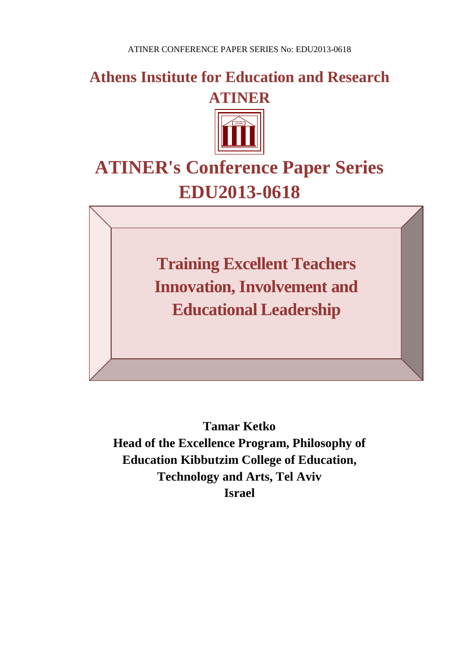**Athens Institute for Education and Research ATINER**



# **ATINER's Conference Paper Series EDU2013-0618**

**Training Excellent Teachers Innovation, Involvement and Educational Leadership**

**Tamar Ketko Head of the Excellence Program, Philosophy of Education Kibbutzim College of Education, Technology and Arts, Tel Aviv Israel**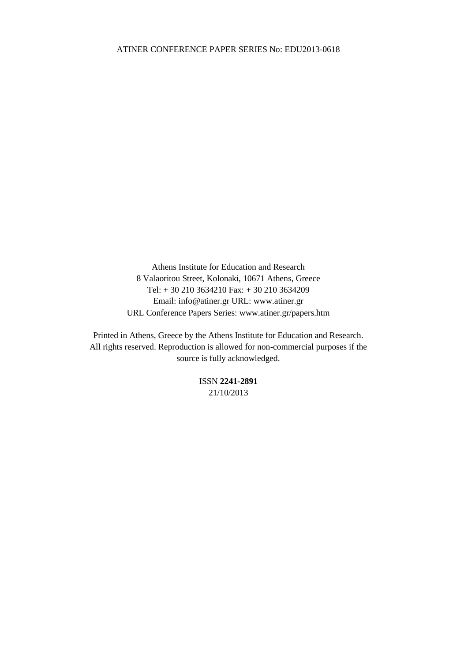Athens Institute for Education and Research 8 Valaoritou Street, Kolonaki, 10671 Athens, Greece Tel: + 30 210 3634210 Fax: + 30 210 3634209 Email: info@atiner.gr URL: www.atiner.gr URL Conference Papers Series: www.atiner.gr/papers.htm

Printed in Athens, Greece by the Athens Institute for Education and Research. All rights reserved. Reproduction is allowed for non-commercial purposes if the source is fully acknowledged.

> ISSN **2241-2891** 21/10/2013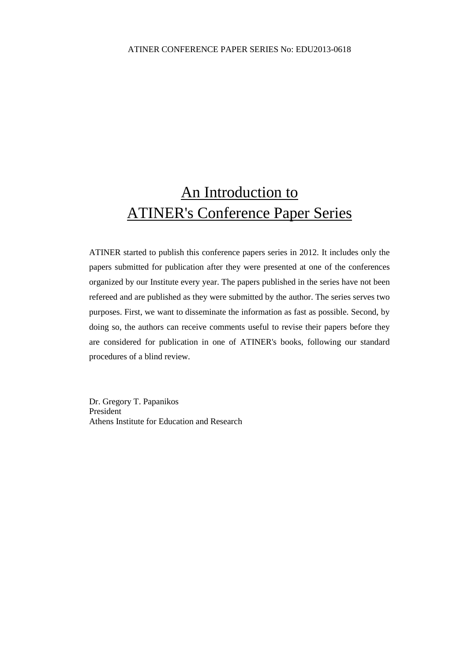## An Introduction to ATINER's Conference Paper Series

ATINER started to publish this conference papers series in 2012. It includes only the papers submitted for publication after they were presented at one of the conferences organized by our Institute every year. The papers published in the series have not been refereed and are published as they were submitted by the author. The series serves two purposes. First, we want to disseminate the information as fast as possible. Second, by doing so, the authors can receive comments useful to revise their papers before they are considered for publication in one of ATINER's books, following our standard procedures of a blind review.

Dr. Gregory T. Papanikos President Athens Institute for Education and Research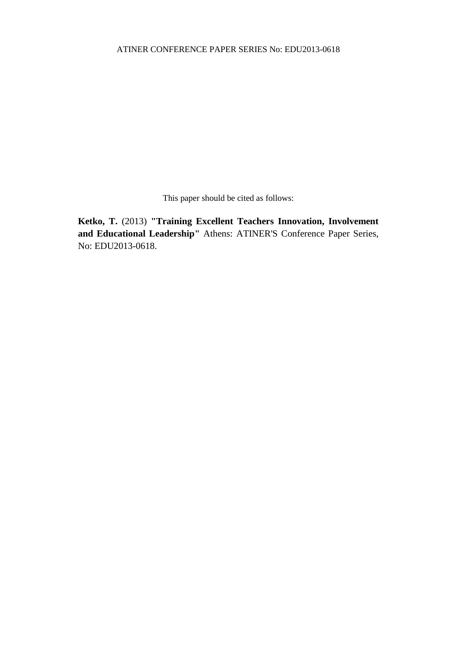This paper should be cited as follows:

**Ketko, T.** (2013) **"Training Excellent Teachers Innovation, Involvement and Educational Leadership"** Athens: ATINER'S Conference Paper Series, No: EDU2013-0618.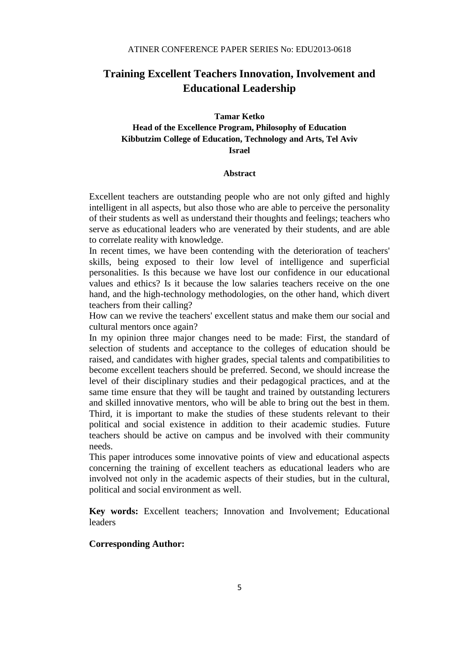### **Training Excellent Teachers Innovation, Involvement and Educational Leadership**

#### **Tamar Ketko**

#### **Head of the Excellence Program, Philosophy of Education Kibbutzim College of Education, Technology and Arts, Tel Aviv Israel**

#### **Abstract**

Excellent teachers are outstanding people who are not only gifted and highly intelligent in all aspects, but also those who are able to perceive the personality of their students as well as understand their thoughts and feelings; teachers who serve as educational leaders who are venerated by their students, and are able to correlate reality with knowledge.

In recent times, we have been contending with the deterioration of teachers' skills, being exposed to their low level of intelligence and superficial personalities. Is this because we have lost our confidence in our educational values and ethics? Is it because the low salaries teachers receive on the one hand, and the high-technology methodologies, on the other hand, which divert teachers from their calling?

How can we revive the teachers' excellent status and make them our social and cultural mentors once again?

In my opinion three major changes need to be made: First, the standard of selection of students and acceptance to the colleges of education should be raised, and candidates with higher grades, special talents and compatibilities to become excellent teachers should be preferred. Second, we should increase the level of their disciplinary studies and their pedagogical practices, and at the same time ensure that they will be taught and trained by outstanding lecturers and skilled innovative mentors, who will be able to bring out the best in them. Third, it is important to make the studies of these students relevant to their political and social existence in addition to their academic studies. Future teachers should be active on campus and be involved with their community needs.

This paper introduces some innovative points of view and educational aspects concerning the training of excellent teachers as educational leaders who are involved not only in the academic aspects of their studies, but in the cultural, political and social environment as well.

**Key words:** Excellent teachers; Innovation and Involvement; Educational leaders

#### **Corresponding Author:**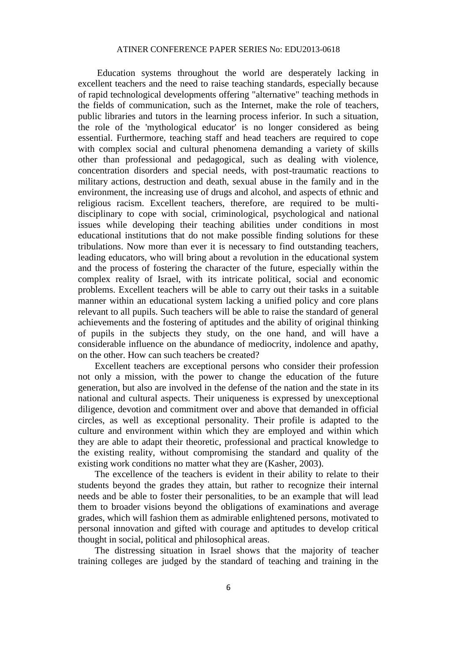Education systems throughout the world are desperately lacking in excellent teachers and the need to raise teaching standards, especially because of rapid technological developments offering "alternative" teaching methods in the fields of communication, such as the Internet, make the role of teachers, public libraries and tutors in the learning process inferior. In such a situation, the role of the 'mythological educator' is no longer considered as being essential. Furthermore, teaching staff and head teachers are required to cope with complex social and cultural phenomena demanding a variety of skills other than professional and pedagogical, such as dealing with violence, concentration disorders and special needs, with post-traumatic reactions to military actions, destruction and death, sexual abuse in the family and in the environment, the increasing use of drugs and alcohol, and aspects of ethnic and religious racism. Excellent teachers, therefore, are required to be multidisciplinary to cope with social, criminological, psychological and national issues while developing their teaching abilities under conditions in most educational institutions that do not make possible finding solutions for these tribulations. Now more than ever it is necessary to find outstanding teachers, leading educators, who will bring about a revolution in the educational system and the process of fostering the character of the future, especially within the complex reality of Israel, with its intricate political, social and economic problems. Excellent teachers will be able to carry out their tasks in a suitable manner within an educational system lacking a unified policy and core plans relevant to all pupils. Such teachers will be able to raise the standard of general achievements and the fostering of aptitudes and the ability of original thinking of pupils in the subjects they study, on the one hand, and will have a considerable influence on the abundance of mediocrity, indolence and apathy, on the other. How can such teachers be created?

Excellent teachers are exceptional persons who consider their profession not only a mission, with the power to change the education of the future generation, but also are involved in the defense of the nation and the state in its national and cultural aspects. Their uniqueness is expressed by unexceptional diligence, devotion and commitment over and above that demanded in official circles, as well as exceptional personality. Their profile is adapted to the culture and environment within which they are employed and within which they are able to adapt their theoretic, professional and practical knowledge to the existing reality, without compromising the standard and quality of the existing work conditions no matter what they are (Kasher, 2003).

The excellence of the teachers is evident in their ability to relate to their students beyond the grades they attain, but rather to recognize their internal needs and be able to foster their personalities, to be an example that will lead them to broader visions beyond the obligations of examinations and average grades, which will fashion them as admirable enlightened persons, motivated to personal innovation and gifted with courage and aptitudes to develop critical thought in social, political and philosophical areas.

The distressing situation in Israel shows that the majority of teacher training colleges are judged by the standard of teaching and training in the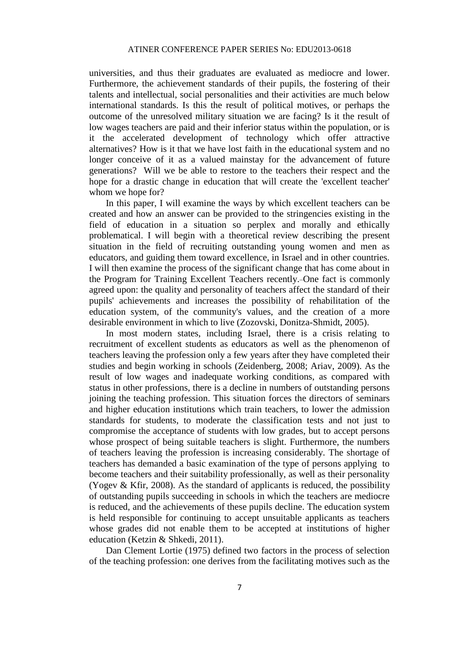universities, and thus their graduates are evaluated as mediocre and lower. Furthermore, the achievement standards of their pupils, the fostering of their talents and intellectual, social personalities and their activities are much below international standards. Is this the result of political motives, or perhaps the outcome of the unresolved military situation we are facing? Is it the result of low wages teachers are paid and their inferior status within the population, or is it the accelerated development of technology which offer attractive alternatives? How is it that we have lost faith in the educational system and no longer conceive of it as a valued mainstay for the advancement of future generations? Will we be able to restore to the teachers their respect and the hope for a drastic change in education that will create the 'excellent teacher' whom we hope for?

In this paper, I will examine the ways by which excellent teachers can be created and how an answer can be provided to the stringencies existing in the field of education in a situation so perplex and morally and ethically problematical. I will begin with a theoretical review describing the present situation in the field of recruiting outstanding young women and men as educators, and guiding them toward excellence, in Israel and in other countries. I will then examine the process of the significant change that has come about in the Program for Training Excellent Teachers recently. One fact is commonly agreed upon: the quality and personality of teachers affect the standard of their pupils' achievements and increases the possibility of rehabilitation of the education system, of the community's values, and the creation of a more desirable environment in which to live (Zozovski, Donitza-Shmidt, 2005).

In most modern states, including Israel, there is a crisis relating to recruitment of excellent students as educators as well as the phenomenon of teachers leaving the profession only a few years after they have completed their studies and begin working in schools (Zeidenberg, 2008; Ariav, 2009). As the result of low wages and inadequate working conditions, as compared with status in other professions, there is a decline in numbers of outstanding persons joining the teaching profession. This situation forces the directors of seminars and higher education institutions which train teachers, to lower the admission standards for students, to moderate the classification tests and not just to compromise the acceptance of students with low grades, but to accept persons whose prospect of being suitable teachers is slight. Furthermore, the numbers of teachers leaving the profession is increasing considerably. The shortage of teachers has demanded a basic examination of the type of persons applying to become teachers and their suitability professionally, as well as their personality (Yogev & Kfir, 2008). As the standard of applicants is reduced, the possibility of outstanding pupils succeeding in schools in which the teachers are mediocre is reduced, and the achievements of these pupils decline. The education system is held responsible for continuing to accept unsuitable applicants as teachers whose grades did not enable them to be accepted at institutions of higher education (Ketzin & Shkedi, 2011).

Dan Clement Lortie (1975) defined two factors in the process of selection of the teaching profession: one derives from the facilitating motives such as the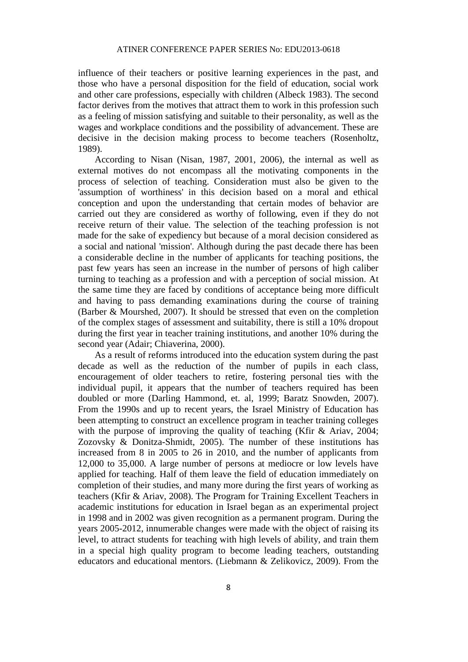influence of their teachers or positive learning experiences in the past, and those who have a personal disposition for the field of education, social work and other care professions, especially with children (Albeck 1983). The second factor derives from the motives that attract them to work in this profession such as a feeling of mission satisfying and suitable to their personality, as well as the wages and workplace conditions and the possibility of advancement. These are decisive in the decision making process to become teachers (Rosenholtz, 1989).

According to Nisan (Nisan, 1987, 2001, 2006), the internal as well as external motives do not encompass all the motivating components in the process of selection of teaching. Consideration must also be given to the 'assumption of worthiness' in this decision based on a moral and ethical conception and upon the understanding that certain modes of behavior are carried out they are considered as worthy of following, even if they do not receive return of their value. The selection of the teaching profession is not made for the sake of expediency but because of a moral decision considered as a social and national 'mission'. Although during the past decade there has been a considerable decline in the number of applicants for teaching positions, the past few years has seen an increase in the number of persons of high caliber turning to teaching as a profession and with a perception of social mission. At the same time they are faced by conditions of acceptance being more difficult and having to pass demanding examinations during the course of training (Barber & Mourshed, 2007). It should be stressed that even on the completion of the complex stages of assessment and suitability, there is still a 10% dropout during the first year in teacher training institutions, and another 10% during the second year (Adair; Chiaverina, 2000).

As a result of reforms introduced into the education system during the past decade as well as the reduction of the number of pupils in each class, encouragement of older teachers to retire, fostering personal ties with the individual pupil, it appears that the number of teachers required has been doubled or more (Darling Hammond, et. al, 1999; Baratz Snowden, 2007). From the 1990s and up to recent years, the Israel Ministry of Education has been attempting to construct an excellence program in teacher training colleges with the purpose of improving the quality of teaching (Kfir & Ariav, 2004; Zozovsky & Donitza-Shmidt, 2005). The number of these institutions has increased from 8 in 2005 to 26 in 2010, and the number of applicants from 12,000 to 35,000. A large number of persons at mediocre or low levels have applied for teaching. Half of them leave the field of education immediately on completion of their studies, and many more during the first years of working as teachers (Kfir & Ariav, 2008). The Program for Training Excellent Teachers in academic institutions for education in Israel began as an experimental project in 1998 and in 2002 was given recognition as a permanent program. During the years 2005-2012, innumerable changes were made with the object of raising its level, to attract students for teaching with high levels of ability, and train them in a special high quality program to become leading teachers, outstanding educators and educational mentors. (Liebmann & Zelikovicz, 2009). From the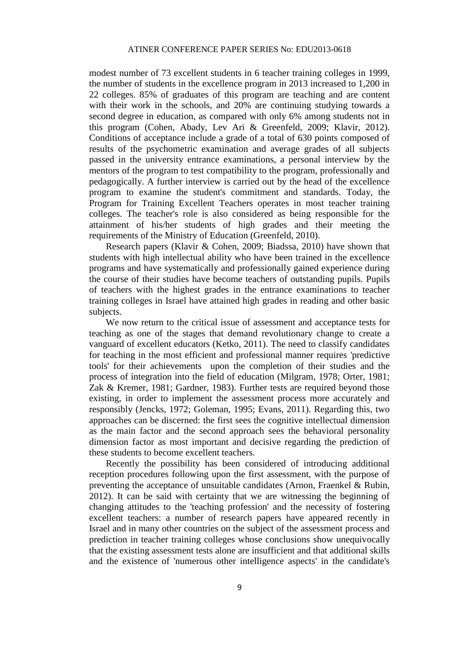modest number of 73 excellent students in 6 teacher training colleges in 1999, the number of students in the excellence program in 2013 increased to 1,200 in 22 colleges. 85% of graduates of this program are teaching and are content with their work in the schools, and 20% are continuing studying towards a second degree in education, as compared with only 6% among students not in this program (Cohen, Abady, Lev Ari & Greenfeld, 2009; Klavir, 2012). Conditions of acceptance include a grade of a total of 630 points composed of results of the psychometric examination and average grades of all subjects passed in the university entrance examinations, a personal interview by the mentors of the program to test compatibility to the program, professionally and pedagogically. A further interview is carried out by the head of the excellence program to examine the student's commitment and standards. Today, the Program for Training Excellent Teachers operates in most teacher training colleges. The teacher's role is also considered as being responsible for the attainment of his/her students of high grades and their meeting the requirements of the Ministry of Education (Greenfeld, 2010).

Research papers (Klavir & Cohen, 2009; Biadssa, 2010) have shown that students with high intellectual ability who have been trained in the excellence programs and have systematically and professionally gained experience during the course of their studies have become teachers of outstanding pupils. Pupils of teachers with the highest grades in the entrance examinations to teacher training colleges in Israel have attained high grades in reading and other basic subjects.

We now return to the critical issue of assessment and acceptance tests for teaching as one of the stages that demand revolutionary change to create a vanguard of excellent educators (Ketko, 2011). The need to classify candidates for teaching in the most efficient and professional manner requires 'predictive tools' for their achievements upon the completion of their studies and the process of integration into the field of education (Milgram, 1978; Orter, 1981; Zak & Kremer, 1981; Gardner, 1983). Further tests are required beyond those existing, in order to implement the assessment process more accurately and responsibly (Jencks, 1972; Goleman, 1995; Evans, 2011). Regarding this, two approaches can be discerned: the first sees the cognitive intellectual dimension as the main factor and the second approach sees the behavioral personality dimension factor as most important and decisive regarding the prediction of these students to become excellent teachers.

Recently the possibility has been considered of introducing additional reception procedures following upon the first assessment, with the purpose of preventing the acceptance of unsuitable candidates (Arnon, Fraenkel & Rubin, 2012). It can be said with certainty that we are witnessing the beginning of changing attitudes to the 'teaching profession' and the necessity of fostering excellent teachers: a number of research papers have appeared recently in Israel and in many other countries on the subject of the assessment process and prediction in teacher training colleges whose conclusions show unequivocally that the existing assessment tests alone are insufficient and that additional skills and the existence of 'numerous other intelligence aspects' in the candidate's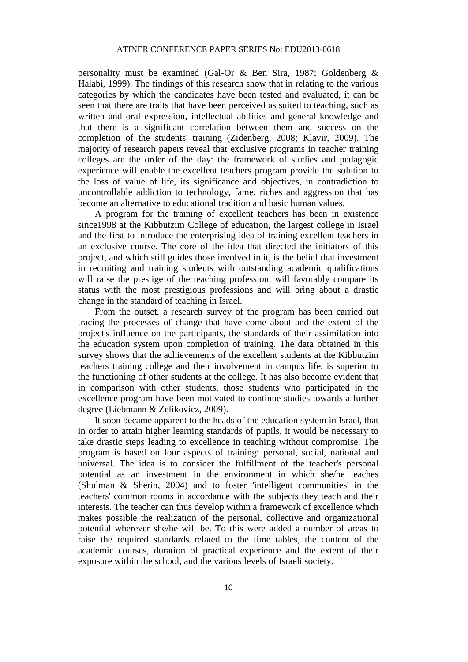personality must be examined (Gal-Or & Ben Sira, 1987; Goldenberg & Halabi, 1999). The findings of this research show that in relating to the various categories by which the candidates have been tested and evaluated, it can be seen that there are traits that have been perceived as suited to teaching, such as written and oral expression, intellectual abilities and general knowledge and that there is a significant correlation between them and success on the completion of the students' training (Zidenberg, 2008; Klavir, 2009). The majority of research papers reveal that exclusive programs in teacher training colleges are the order of the day: the framework of studies and pedagogic experience will enable the excellent teachers program provide the solution to the loss of value of life, its significance and objectives, in contradiction to uncontrollable addiction to technology, fame, riches and aggression that has become an alternative to educational tradition and basic human values.

A program for the training of excellent teachers has been in existence since1998 at the Kibbutzim College of education, the largest college in Israel and the first to introduce the enterprising idea of training excellent teachers in an exclusive course. The core of the idea that directed the initiators of this project, and which still guides those involved in it, is the belief that investment in recruiting and training students with outstanding academic qualifications will raise the prestige of the teaching profession, will favorably compare its status with the most prestigious professions and will bring about a drastic change in the standard of teaching in Israel.

From the outset, a research survey of the program has been carried out tracing the processes of change that have come about and the extent of the project's influence on the participants, the standards of their assimilation into the education system upon completion of training. The data obtained in this survey shows that the achievements of the excellent students at the Kibbutzim teachers training college and their involvement in campus life, is superior to the functioning of other students at the college. It has also become evident that in comparison with other students, those students who participated in the excellence program have been motivated to continue studies towards a further degree (Liebmann & Zelikovicz, 2009).

It soon became apparent to the heads of the education system in Israel, that in order to attain higher learning standards of pupils, it would be necessary to take drastic steps leading to excellence in teaching without compromise. The program is based on four aspects of training: personal, social, national and universal. The idea is to consider the fulfillment of the teacher's personal potential as an investment in the environment in which she/he teaches (Shulman & Sherin, 2004) and to foster 'intelligent communities' in the teachers' common rooms in accordance with the subjects they teach and their interests. The teacher can thus develop within a framework of excellence which makes possible the realization of the personal, collective and organizational potential wherever she/he will be. To this were added a number of areas to raise the required standards related to the time tables, the content of the academic courses, duration of practical experience and the extent of their exposure within the school, and the various levels of Israeli society.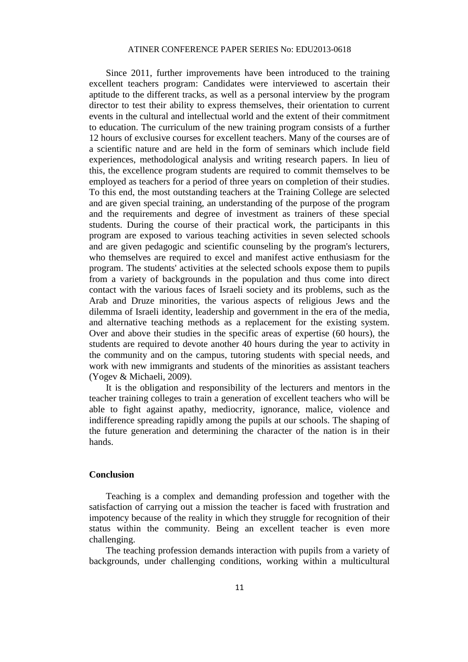Since 2011, further improvements have been introduced to the training excellent teachers program: Candidates were interviewed to ascertain their aptitude to the different tracks, as well as a personal interview by the program director to test their ability to express themselves, their orientation to current events in the cultural and intellectual world and the extent of their commitment to education. The curriculum of the new training program consists of a further 12 hours of exclusive courses for excellent teachers. Many of the courses are of a scientific nature and are held in the form of seminars which include field experiences, methodological analysis and writing research papers. In lieu of this, the excellence program students are required to commit themselves to be employed as teachers for a period of three years on completion of their studies. To this end, the most outstanding teachers at the Training College are selected and are given special training, an understanding of the purpose of the program and the requirements and degree of investment as trainers of these special students. During the course of their practical work, the participants in this program are exposed to various teaching activities in seven selected schools and are given pedagogic and scientific counseling by the program's lecturers, who themselves are required to excel and manifest active enthusiasm for the program. The students' activities at the selected schools expose them to pupils from a variety of backgrounds in the population and thus come into direct contact with the various faces of Israeli society and its problems, such as the Arab and Druze minorities, the various aspects of religious Jews and the dilemma of Israeli identity, leadership and government in the era of the media, and alternative teaching methods as a replacement for the existing system. Over and above their studies in the specific areas of expertise (60 hours), the students are required to devote another 40 hours during the year to activity in the community and on the campus, tutoring students with special needs, and work with new immigrants and students of the minorities as assistant teachers (Yogev & Michaeli, 2009).

It is the obligation and responsibility of the lecturers and mentors in the teacher training colleges to train a generation of excellent teachers who will be able to fight against apathy, mediocrity, ignorance, malice, violence and indifference spreading rapidly among the pupils at our schools. The shaping of the future generation and determining the character of the nation is in their hands.

#### **Conclusion**

Teaching is a complex and demanding profession and together with the satisfaction of carrying out a mission the teacher is faced with frustration and impotency because of the reality in which they struggle for recognition of their status within the community. Being an excellent teacher is even more challenging.

The teaching profession demands interaction with pupils from a variety of backgrounds, under challenging conditions, working within a multicultural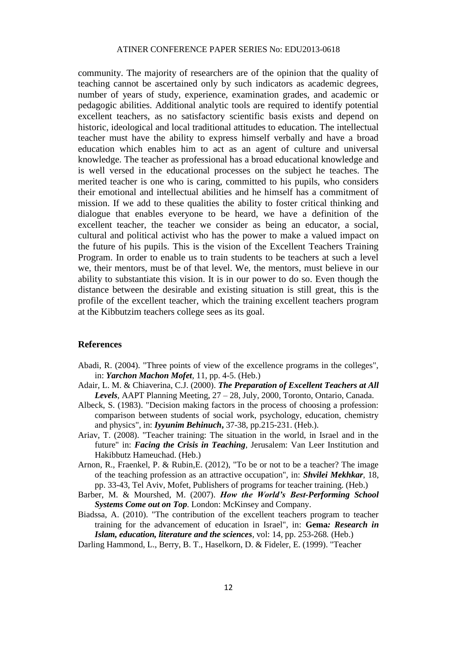community. The majority of researchers are of the opinion that the quality of teaching cannot be ascertained only by such indicators as academic degrees, number of years of study, experience, examination grades, and academic or pedagogic abilities. Additional analytic tools are required to identify potential excellent teachers, as no satisfactory scientific basis exists and depend on historic, ideological and local traditional attitudes to education. The intellectual teacher must have the ability to express himself verbally and have a broad education which enables him to act as an agent of culture and universal knowledge. The teacher as professional has a broad educational knowledge and is well versed in the educational processes on the subject he teaches. The merited teacher is one who is caring, committed to his pupils, who considers their emotional and intellectual abilities and he himself has a commitment of mission. If we add to these qualities the ability to foster critical thinking and dialogue that enables everyone to be heard, we have a definition of the excellent teacher, the teacher we consider as being an educator, a social, cultural and political activist who has the power to make a valued impact on the future of his pupils. This is the vision of the Excellent Teachers Training Program. In order to enable us to train students to be teachers at such a level we, their mentors, must be of that level. We, the mentors, must believe in our ability to substantiate this vision. It is in our power to do so. Even though the distance between the desirable and existing situation is still great, this is the profile of the excellent teacher, which the training excellent teachers program at the Kibbutzim teachers college sees as its goal.

#### **References**

- Abadi, R. (2004). "Three points of view of the excellence programs in the colleges", in: *Yarchon Machon Mofet*, 11, pp. 4-5. (Heb.)
- Adair, L. M. & Chiaverina, C.J. (2000). *The Preparation of Excellent Teachers at All Levels*, AAPT Planning Meeting, 27 – 28, July, 2000, Toronto, Ontario, Canada.
- Albeck, S. (1983). "Decision making factors in the process of choosing a profession: comparison between students of social work, psychology, education, chemistry and physics", in: *Iyyunim Behinuch***,** 37-38, pp.215-231. (Heb.).
- Ariav, T. (2008). "Teacher training: The situation in the world, in Israel and in the future" in: *Facing the Crisis in Teaching*, Jerusalem: Van Leer Institution and Hakibbutz Hameuchad. (Heb.)
- Arnon, R., Fraenkel, P. & Rubin,E. (2012), "To be or not to be a teacher? The image of the teaching profession as an attractive occupation", in: *Shvilei Mekhkar*, 18, pp. 33-43, Tel Aviv, Mofet, Publishers of programs for teacher training. (Heb.)
- Barber, M. & Mourshed, M. (2007). *How the World's Best-Performing School Systems Come out on Top.* London: McKinsey and Company.
- Biadssa, A. (2010). "The contribution of the excellent teachers program to teacher training for the advancement of education in Israel", in: **Gema***: Research in Islam, education, literature and the sciences,* vol: 14, pp. 253-268*.* (Heb.)
- Darling Hammond, L., Berry, B. T., Haselkorn, D. & Fideler, E. (1999). "Teacher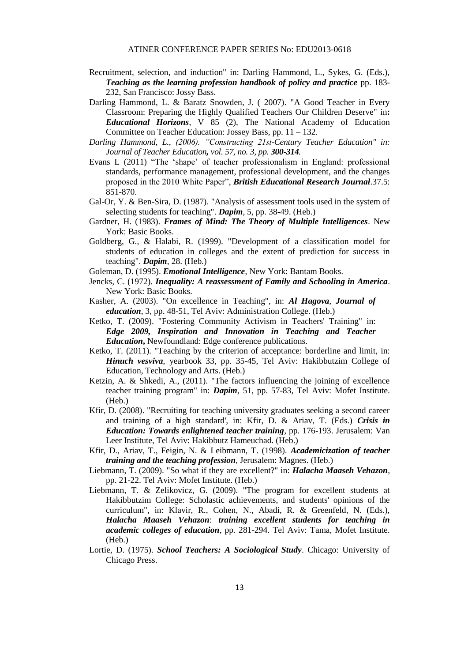- Recruitment, selection, and induction" in: Darling Hammond, L., Sykes, G. (Eds.), *Teaching as the learning profession handbook of policy and practice* pp. 183- 232, San Francisco: Jossy Bass.
- Darling Hammond, L. & Baratz Snowden, J. ( 2007). "A Good Teacher in Every Classroom: Preparing the Highly Qualified Teachers Our Children Deserve" in**:**  *Educational Horizons*, V 85 (2), The National Academy of Education Committee on Teacher Education: Jossey Bass, pp. 11 – 132.
- *Darling Hammond, L., (2006). "Constructing 21st-Century Teacher Education" in: Journal of Teacher Education, vol. 57, no. 3, pp. 300-314.*
- Evans L (2011) "The 'shape' of teacher professionalism in England: professional standards, performance management, professional development, and the changes proposed in the 2010 White Paper", *British Educational Research Journal*.37.5: 851-870.
- Gal-Or, Y. & Ben-Sira, D. (1987). "Analysis of assessment tools used in the system of selecting students for teaching". *Dapim*, 5, pp. 38-49. (Heb.)
- Gardner, H. (1983). *Frames of Mind: The Theory of Multiple Intelligences*. New York: Basic Books.
- Goldberg, G., & Halabi, R. (1999). "Development of a classification model for students of education in colleges and the extent of prediction for success in teaching". *Dapim*, 28. (Heb.)
- Goleman, D. (1995). *Emotional Intelligence*, New York: Bantam Books.
- Jencks, C. (1972). *Inequality: A reassessment of Family and Schooling in America*. New York: Basic Books.
- Kasher, A. (2003). "On excellence in Teaching", in: *Al Hagova, Journal of education*, 3, pp. 48-51, Tel Aviv: Administration College. (Heb.)
- Ketko, T. (2009). "Fostering Community Activism in Teachers' Training" in: *Edge 2009, Inspiration and Innovation in Teaching and Teacher Education***,** Newfoundland: Edge conference publications.
- Ketko, T. (2011). "Teaching by the criterion of acceptance: borderline and limit, in: *Hinuch vesviva*, yearbook 33, pp. 35-45, Tel Aviv: Hakibbutzim College of Education, Technology and Arts. (Heb.)
- Ketzin, A. & Shkedi, A., (2011). "The factors influencing the joining of excellence teacher training program" in: *Dapim*, 51, pp. 57-83, Tel Aviv: Mofet Institute. (Heb.)
- Kfir, D. (2008). "Recruiting for teaching university graduates seeking a second career and training of a high standard', in: Kfir, D. & Ariav, T. (Eds.) *Crisis in Education: Towards enlightened teacher training,* pp. 176-193. Jerusalem: Van Leer Institute, Tel Aviv: Hakibbutz Hameuchad. (Heb.)
- Kfir, D., Ariav, T., Feigin, N. & Leibmann, T. (1998). *Academicization of teacher training and the teaching profession*, Jerusalem: Magnes. (Heb.)
- Liebmann, T. (2009). "So what if they are excellent?" in: *Halacha Maaseh Vehazon*, pp. 21-22. Tel Aviv: Mofet Institute. (Heb.)
- Liebmann, T. & Zelikovicz, G. (2009). "The program for excellent students at Hakibbutzim College: Scholastic achievements, and students' opinions of the curriculum", in: Klavir, R., Cohen, N., Abadi, R. & Greenfeld, N. (Eds.), *Halacha Maaseh Vehazon*: *training excellent students for teaching in academic colleges of education*, pp. 281-294. Tel Aviv: Tama, Mofet Institute. (Heb.)
- Lortie, D. (1975). *School Teachers: A Sociological Study*. Chicago: University of Chicago Press.